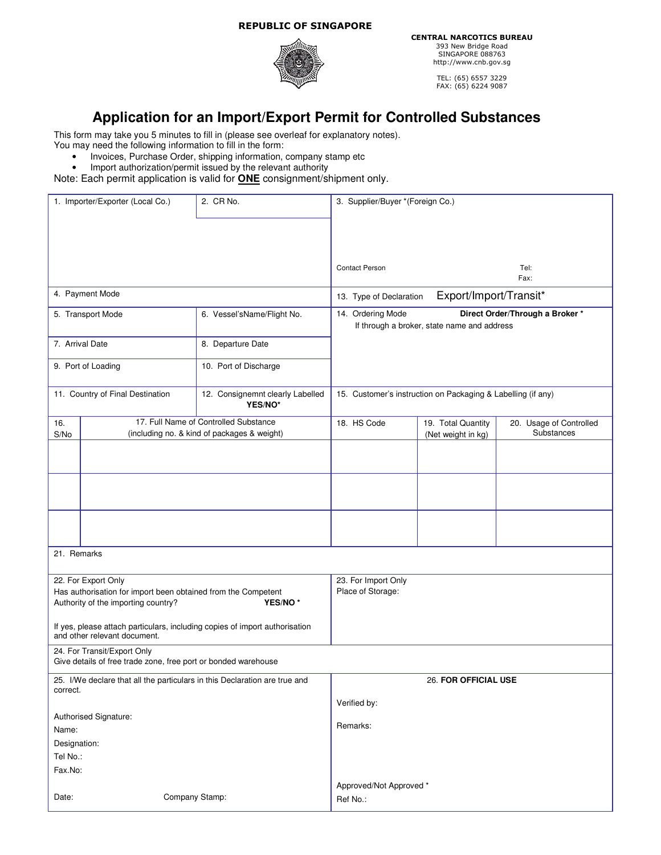## REPUBLIC OF SINGAPORE



CENTRAL NARCOTICS BUREAU 393 New Bridge Road SINGAPORE 088763 http://www.cnb.gov.sg

TEL: (65) 6557 3229 FAX: (65) 6224 9087

## **Application for an Import/Export Permit for Controlled Substances**

This form may take you 5 minutes to fill in (please see overleaf for explanatory notes).

You may need the following information to fill in the form:

- Invoices, Purchase Order, shipping information, company stamp etc<br>• Import authorization/permit issued by the relevant authority
- Import authorization/permit issued by the relevant authority

Note: Each permit application is valid for **ONE** consignment/shipment only.

| 1. Importer/Exporter (Local Co.)                                                       |                              | 2. CR No.                                                                   | 3. Supplier/Buyer *(Foreign Co.)                                                                    |                    |                         |
|----------------------------------------------------------------------------------------|------------------------------|-----------------------------------------------------------------------------|-----------------------------------------------------------------------------------------------------|--------------------|-------------------------|
|                                                                                        |                              |                                                                             |                                                                                                     |                    |                         |
|                                                                                        |                              |                                                                             |                                                                                                     |                    |                         |
|                                                                                        |                              |                                                                             |                                                                                                     |                    |                         |
|                                                                                        |                              |                                                                             | <b>Contact Person</b>                                                                               |                    | Tel:                    |
|                                                                                        |                              |                                                                             |                                                                                                     |                    | Fax:                    |
| 4. Payment Mode                                                                        |                              |                                                                             | Export/Import/Transit*<br>13. Type of Declaration                                                   |                    |                         |
| 5. Transport Mode                                                                      |                              | 6. Vessel'sName/Flight No.                                                  | 14. Ordering Mode<br>Direct Order/Through a Broker *<br>If through a broker, state name and address |                    |                         |
|                                                                                        |                              |                                                                             |                                                                                                     |                    |                         |
| 7. Arrival Date                                                                        |                              | 8. Departure Date                                                           |                                                                                                     |                    |                         |
| 9. Port of Loading                                                                     |                              | 10. Port of Discharge                                                       |                                                                                                     |                    |                         |
|                                                                                        |                              |                                                                             |                                                                                                     |                    |                         |
| 11. Country of Final Destination                                                       |                              | 12. Consignemnt clearly Labelled                                            | 15. Customer's instruction on Packaging & Labelling (if any)                                        |                    |                         |
| YES/NO*                                                                                |                              |                                                                             |                                                                                                     |                    |                         |
| 16.                                                                                    |                              | 17. Full Name of Controlled Substance                                       | 18. HS Code                                                                                         | 19. Total Quantity | 20. Usage of Controlled |
| S/No                                                                                   |                              | (including no. & kind of packages & weight)                                 |                                                                                                     | (Net weight in kg) | Substances              |
|                                                                                        |                              |                                                                             |                                                                                                     |                    |                         |
|                                                                                        |                              |                                                                             |                                                                                                     |                    |                         |
|                                                                                        |                              |                                                                             |                                                                                                     |                    |                         |
|                                                                                        |                              |                                                                             |                                                                                                     |                    |                         |
|                                                                                        |                              |                                                                             |                                                                                                     |                    |                         |
|                                                                                        |                              |                                                                             |                                                                                                     |                    |                         |
|                                                                                        |                              |                                                                             |                                                                                                     |                    |                         |
| 21. Remarks                                                                            |                              |                                                                             |                                                                                                     |                    |                         |
| 22. For Export Only<br>23. For Import Only                                             |                              |                                                                             |                                                                                                     |                    |                         |
| Has authorisation for import been obtained from the Competent                          |                              |                                                                             | Place of Storage:                                                                                   |                    |                         |
| Authority of the importing country?<br>YES/NO <sup>*</sup>                             |                              |                                                                             |                                                                                                     |                    |                         |
|                                                                                        |                              |                                                                             |                                                                                                     |                    |                         |
|                                                                                        | and other relevant document. | If yes, please attach particulars, including copies of import authorisation |                                                                                                     |                    |                         |
| 24. For Transit/Export Only                                                            |                              |                                                                             |                                                                                                     |                    |                         |
| Give details of free trade zone, free port or bonded warehouse                         |                              |                                                                             |                                                                                                     |                    |                         |
| 25. I/We declare that all the particulars in this Declaration are true and<br>correct. |                              |                                                                             | 26. FOR OFFICIAL USE                                                                                |                    |                         |
|                                                                                        |                              |                                                                             | Verified by:                                                                                        |                    |                         |
|                                                                                        | Authorised Signature:        |                                                                             |                                                                                                     |                    |                         |
| Name:                                                                                  |                              |                                                                             | Remarks:                                                                                            |                    |                         |
| Designation:                                                                           |                              |                                                                             |                                                                                                     |                    |                         |
| Tel No.:                                                                               |                              |                                                                             |                                                                                                     |                    |                         |
| Fax.No:                                                                                |                              |                                                                             |                                                                                                     |                    |                         |
|                                                                                        |                              |                                                                             | Approved/Not Approved *                                                                             |                    |                         |
| Date:                                                                                  | Company Stamp:<br>Ref No.:   |                                                                             |                                                                                                     |                    |                         |